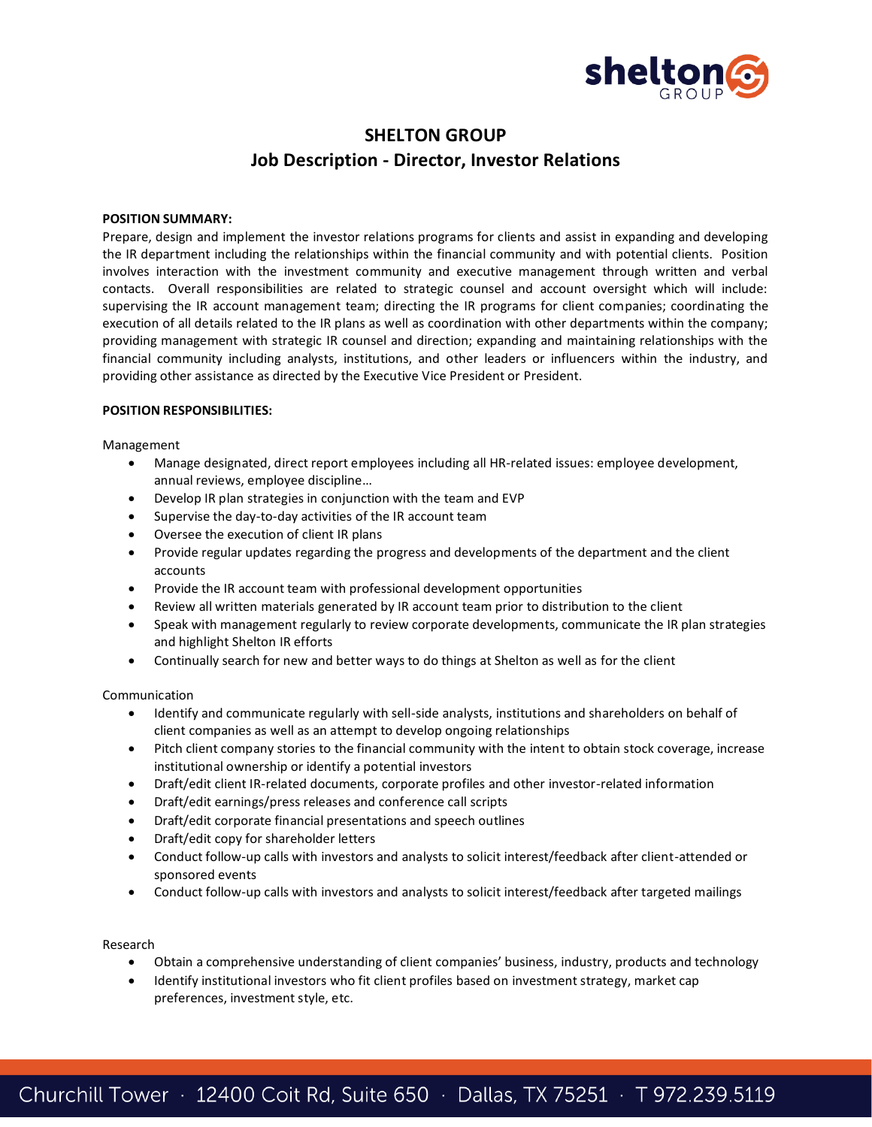

# **SHELTON GROUP Job Description - Director, Investor Relations**

## **POSITION SUMMARY:**

Prepare, design and implement the investor relations programs for clients and assist in expanding and developing the IR department including the relationships within the financial community and with potential clients. Position involves interaction with the investment community and executive management through written and verbal contacts. Overall responsibilities are related to strategic counsel and account oversight which will include: supervising the IR account management team; directing the IR programs for client companies; coordinating the execution of all details related to the IR plans as well as coordination with other departments within the company; providing management with strategic IR counsel and direction; expanding and maintaining relationships with the financial community including analysts, institutions, and other leaders or influencers within the industry, and providing other assistance as directed by the Executive Vice President or President.

#### **POSITION RESPONSIBILITIES:**

Management

- Manage designated, direct report employees including all HR-related issues: employee development, annual reviews, employee discipline…
- Develop IR plan strategies in conjunction with the team and EVP
- Supervise the day-to-day activities of the IR account team
- Oversee the execution of client IR plans
- Provide regular updates regarding the progress and developments of the department and the client accounts
- Provide the IR account team with professional development opportunities
- Review all written materials generated by IR account team prior to distribution to the client
- Speak with management regularly to review corporate developments, communicate the IR plan strategies and highlight Shelton IR efforts
- Continually search for new and better ways to do things at Shelton as well as for the client

Communication

- Identify and communicate regularly with sell-side analysts, institutions and shareholders on behalf of client companies as well as an attempt to develop ongoing relationships
- Pitch client company stories to the financial community with the intent to obtain stock coverage, increase institutional ownership or identify a potential investors
- Draft/edit client IR-related documents, corporate profiles and other investor-related information
- Draft/edit earnings/press releases and conference call scripts
- Draft/edit corporate financial presentations and speech outlines
- Draft/edit copy for shareholder letters
- Conduct follow-up calls with investors and analysts to solicit interest/feedback after client-attended or sponsored events
- Conduct follow-up calls with investors and analysts to solicit interest/feedback after targeted mailings

Research

- Obtain a comprehensive understanding of client companies' business, industry, products and technology
- Identify institutional investors who fit client profiles based on investment strategy, market cap preferences, investment style, etc.